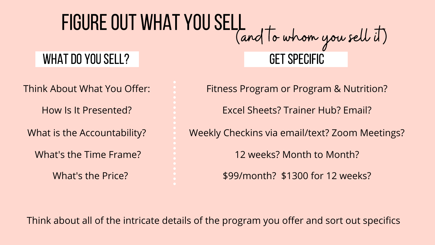### FIGURE OUT WHAT YOU SELL (and to whom you sell it) WHAT DO YOU SELL? **GET SPECIFIC**

What's the Time Frame?

Think About What You Offer: Fitness Program or Program & Nutrition? 12 weeks? Month to Month? How Is It Presented? Excel Sheets? Trainer Hub? Email? What is the Accountability? Weekly Checkins via email/text? Zoom Meetings? What's the Price? **\$2000 for 12 weeks?** \$99/month? \$1300 for 12 weeks?

Think about all of the intricate details of the program you offer and sort out specifics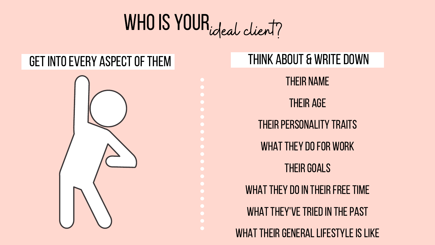# WHO IS YOUR, ideal client?

## GET INTO EVERY ASPECT OF THEM THINK ABOUT & WRITE DOWN



Their name

Their age

**THEIR PERSONALITY TRAITS** 

WHAT THEY DO FOR WORK

**THEIR GOALS** 

WHAT THEY DO IN THEIR FREE TIME

WHAT THEY'VE TRIED IN THE PAST

WHAT THEIR GENERAL LIFESTYLE IS LIKE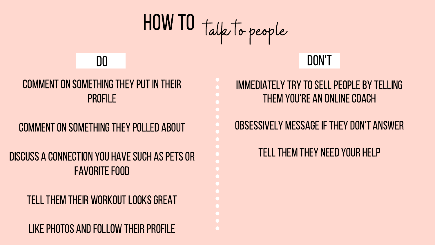# how to talk to people

#### COMMENT ON SOMETHING THEY PUT IN THEIR **PROFILE**

#### COMMENT ON SOMETHING THEY POLLED ABOUT

#### discuss a connection you havesuch aspetsor **FAVORITE FOOD**

#### TELL THEM THEIR WORKOUT LOOKS GREAT

#### LIKE PHOTOS AND FOLLOW THEIR PROFILE

# do don't

#### immediately try tosellpeopleby telling THEM YOU'RE AN ONLINE COACH

### OBSESSIVELY MESSAGE IF THEY DON'T ANSWER

#### TELL THEM THEY NEED YOUR HELP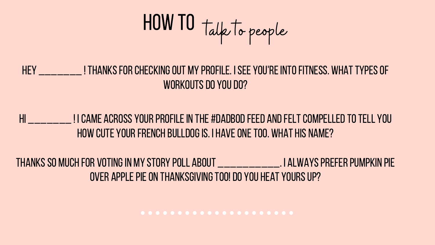

HEY \_\_\_\_\_\_\_\_ ! THANKS FOR CHECKING OUT MY PROFILE. I SEE YOU'RE INTO FITNESS. WHAT TYPES OF WORKOUTS DO YOU DO?

### HI JI CAME ACROSS YOUR PROFILE IN THE #DADBOD FEED AND FELT COMPELLED TO TELL YOU HOW CUTE YOUR FRENCH BULLDOG IS. I HAVE ONE TOO. WHAT HIS NAME?

thanksso much for votingin my story poll about \_\_\_\_\_\_\_\_\_\_. i alwayspreferpumpkin pie OVER APPLE PIE ON THANKSGIVING TOO! DO YOU HEAT YOURS UP?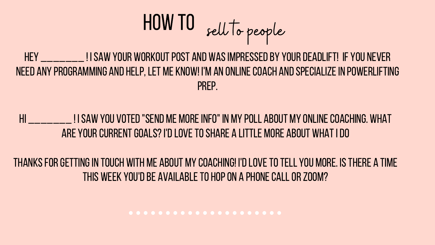

HEY ISAW YOUR WORKOUT POST AND WAS IMPRESSED BY YOUR DEADLIFT! IF YOU NEVER need any programming and help,let me know! I'm an onlinecoach andspecializein powerlifting prep.

HI \_\_\_\_\_\_\_\_ ! I SAW YOU VOTED "SEND ME MORE INFO" IN MY POLL ABOUT MY ONLINE COACHING. WHAT are your current goals? I'd love to share a little more about what I do

thanksforgettingin touch with me about my coaching! I'dlovetotell you more. Isthere a time THIS WEEK YOU'D BE AVAILABLE TO HOP ON A PHONE CALL OR ZOOM?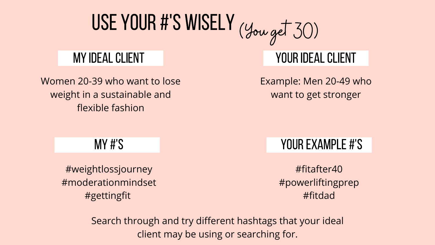# Use Your #'s Wisely (You get 30)

Women 20-39 who want to lose weight in a sustainable and flexible fashion

## MY IDEAL CLIENT And The Contract of The YOUR IDEAL CLIENT

Example: Men 20-49 who want to get stronger

#weightlossjourney #moderationmindset #gettingfit

### MY #'S NOUR EXAMPLE #'S

#fitafter40 #powerliftingprep #fitdad

Search through and try different hashtags that your ideal client may be using or searching for.